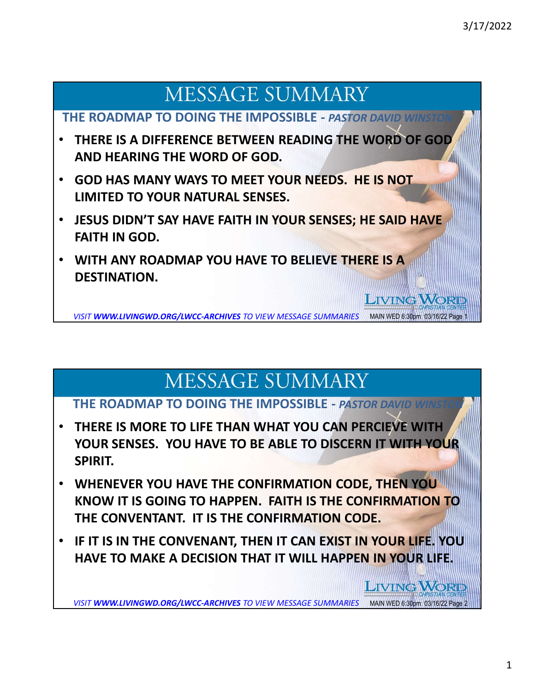**LIVING WORL** 

**LIVING WORD** 

# **MESSAGE SUMMARY**

THE ROADMAP TO DOING THE IMPOSSIBLE - PASTOR DAVID WINST

- THERE IS A DIFFERENCE BETWEEN READING THE WORD OF GOD AND HEARING THE WORD OF GOD.
- GOD HAS MANY WAYS TO MEET YOUR NEEDS. HE IS NOT LIMITED TO YOUR NATURAL SENSES.
- JESUS DIDN'T SAY HAVE FAITH IN YOUR SENSES; HE SAID HAVE FAITH IN GOD.
- WITH ANY ROADMAP YOU HAVE TO BELIEVE THERE IS A DESTINATION.

VISIT WWW.LIVINGWD.ORG/LWCC-ARCHIVES TO VIEW MESSAGE SUMMARIES MAIN WED 6:30pm 03/16/22 Pag

# **MESSAGE SUMMARY**

### THE ROADMAP TO DOING THE IMPOSSIBLE - PASTOR DAVID

- THERE IS MORE TO LIFE THAN WHAT YOU CAN PERCIEVE WITH YOUR SENSES. YOU HAVE TO BE ABLE TO DISCERN IT WITH YOUR SPIRIT.
- WHENEVER YOU HAVE THE CONFIRMATION CODE, THEN YOU KNOW IT IS GOING TO HAPPEN. FAITH IS THE CONFIRMATION TO THE CONVENTANT. IT IS THE CONFIRMATION CODE.
- IF IT IS IN THE CONVENANT, THEN IT CAN EXIST IN YOUR LIFE. YOU HAVE TO MAKE A DECISION THAT IT WILL HAPPEN IN YOUR LIFE.

VISIT WWW.LIVINGWD.ORG/LWCC-ARCHIVES TO VIEW MESSAGE SUMMARIES MAIN WED 6:30pm 03/16/22 Page 2